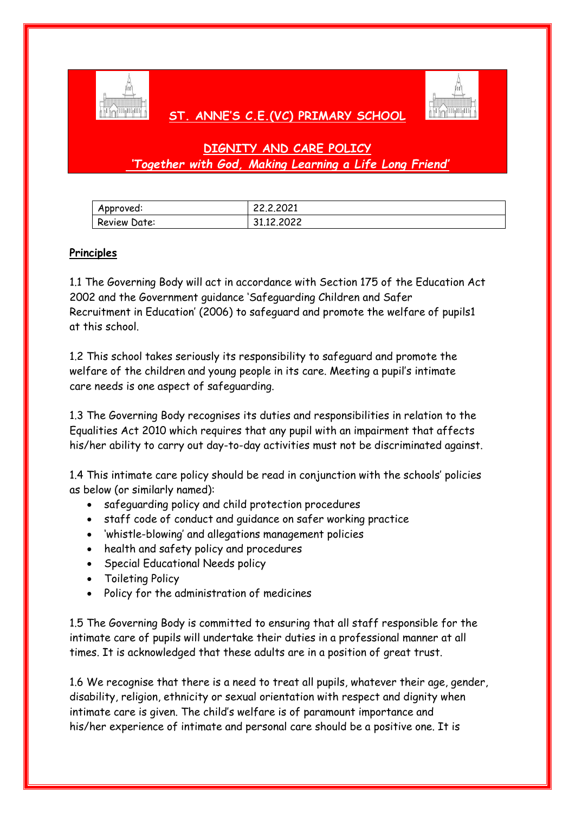

# **ST. ANNE'S C.E.(VC) PRIMARY SCHOOL**



# **DIGNITY AND CARE POLICY** *'Together with God, Making Learning a Life Long Friend'*

| Approved:    | 22.2.2021  |
|--------------|------------|
| Review Date: | 31.12.2022 |

## **Principles**

1.1 The Governing Body will act in accordance with Section 175 of the Education Act 2002 and the Government guidance 'Safeguarding Children and Safer Recruitment in Education' (2006) to safeguard and promote the welfare of pupils1 at this school.

1.2 This school takes seriously its responsibility to safeguard and promote the welfare of the children and young people in its care. Meeting a pupil's intimate care needs is one aspect of safeguarding.

1.3 The Governing Body recognises its duties and responsibilities in relation to the Equalities Act 2010 which requires that any pupil with an impairment that affects his/her ability to carry out day-to-day activities must not be discriminated against.

1.4 This intimate care policy should be read in conjunction with the schools' policies as below (or similarly named):

- safeguarding policy and child protection procedures
- staff code of conduct and guidance on safer working practice
- 'whistle-blowing' and allegations management policies
- health and safety policy and procedures
- Special Educational Needs policy
- Toileting Policy
- Policy for the administration of medicines

1.5 The Governing Body is committed to ensuring that all staff responsible for the intimate care of pupils will undertake their duties in a professional manner at all times. It is acknowledged that these adults are in a position of great trust.

1.6 We recognise that there is a need to treat all pupils, whatever their age, gender, disability, religion, ethnicity or sexual orientation with respect and dignity when intimate care is given. The child's welfare is of paramount importance and his/her experience of intimate and personal care should be a positive one. It is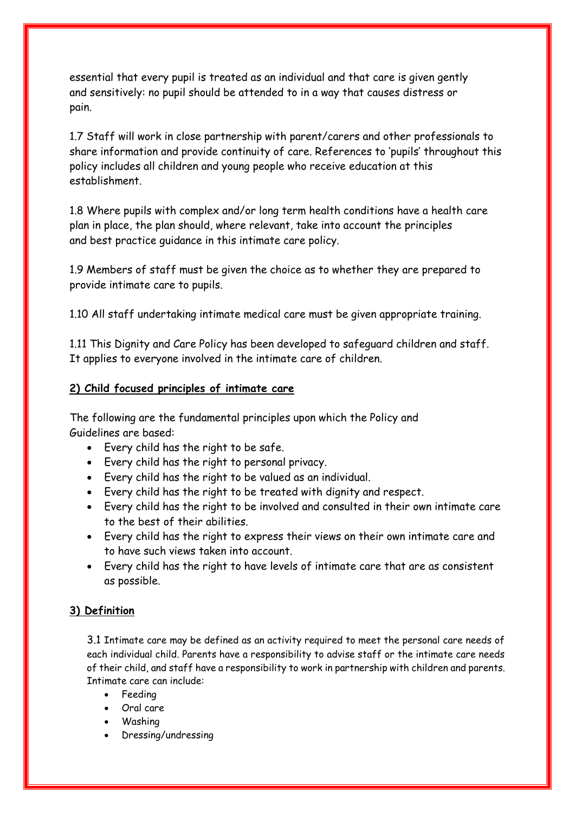essential that every pupil is treated as an individual and that care is given gently and sensitively: no pupil should be attended to in a way that causes distress or pain.

1.7 Staff will work in close partnership with parent/carers and other professionals to share information and provide continuity of care. References to 'pupils' throughout this policy includes all children and young people who receive education at this establishment.

1.8 Where pupils with complex and/or long term health conditions have a health care plan in place, the plan should, where relevant, take into account the principles and best practice guidance in this intimate care policy.

1.9 Members of staff must be given the choice as to whether they are prepared to provide intimate care to pupils.

1.10 All staff undertaking intimate medical care must be given appropriate training.

1.11 This Dignity and Care Policy has been developed to safeguard children and staff. It applies to everyone involved in the intimate care of children.

#### **2) Child focused principles of intimate care**

The following are the fundamental principles upon which the Policy and Guidelines are based:

- Every child has the right to be safe.
- Every child has the right to personal privacy.
- Every child has the right to be valued as an individual.
- Every child has the right to be treated with dignity and respect.
- Every child has the right to be involved and consulted in their own intimate care to the best of their abilities.
- Every child has the right to express their views on their own intimate care and to have such views taken into account.
- Every child has the right to have levels of intimate care that are as consistent as possible.

#### **3) Definition**

3.1 Intimate care may be defined as an activity required to meet the personal care needs of each individual child. Parents have a responsibility to advise staff or the intimate care needs of their child, and staff have a responsibility to work in partnership with children and parents. Intimate care can include:

- **•** Feeding
- Oral care
- Washing
- Dressing/undressing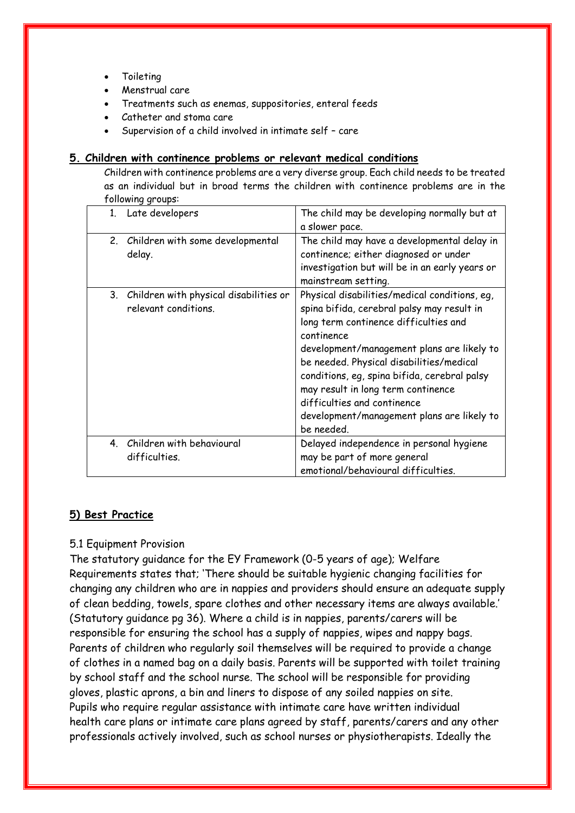- Toileting
- Menstrual care
- Treatments such as enemas, suppositories, enteral feeds
- Catheter and stoma care
- Supervision of a child involved in intimate self care

#### **5. Children with continence problems or relevant medical conditions**

Children with continence problems are a very diverse group. Each child needs to be treated as an individual but in broad terms the children with continence problems are in the following groups:

| 1. Late developers                                                | The child may be developing normally but at<br>a slower pace.                                                                                                                                                                                                                                                                                                                                                                 |  |
|-------------------------------------------------------------------|-------------------------------------------------------------------------------------------------------------------------------------------------------------------------------------------------------------------------------------------------------------------------------------------------------------------------------------------------------------------------------------------------------------------------------|--|
| 2. Children with some developmental<br>delay.                     | The child may have a developmental delay in<br>continence; either diagnosed or under<br>investigation but will be in an early years or<br>mainstream setting.                                                                                                                                                                                                                                                                 |  |
| 3. Children with physical disabilities or<br>relevant conditions. | Physical disabilities/medical conditions, eq,<br>spina bifida, cerebral palsy may result in<br>long term continence difficulties and<br>continence<br>development/management plans are likely to<br>be needed. Physical disabilities/medical<br>conditions, eg, spina bifida, cerebral palsy<br>may result in long term continence<br>difficulties and continence<br>development/management plans are likely to<br>be needed. |  |
| 4. Children with behavioural<br>difficulties.                     | Delayed independence in personal hygiene<br>may be part of more general<br>emotional/behavioural difficulties.                                                                                                                                                                                                                                                                                                                |  |

### **5) Best Practice**

#### 5.1 Equipment Provision

The statutory guidance for the EY Framework (0-5 years of age); Welfare Requirements states that; 'There should be suitable hygienic changing facilities for changing any children who are in nappies and providers should ensure an adequate supply of clean bedding, towels, spare clothes and other necessary items are always available.' (Statutory guidance pg 36). Where a child is in nappies, parents/carers will be responsible for ensuring the school has a supply of nappies, wipes and nappy bags. Parents of children who regularly soil themselves will be required to provide a change of clothes in a named bag on a daily basis. Parents will be supported with toilet training by school staff and the school nurse. The school will be responsible for providing gloves, plastic aprons, a bin and liners to dispose of any soiled nappies on site. Pupils who require regular assistance with intimate care have written individual health care plans or intimate care plans agreed by staff, parents/carers and any other professionals actively involved, such as school nurses or physiotherapists. Ideally the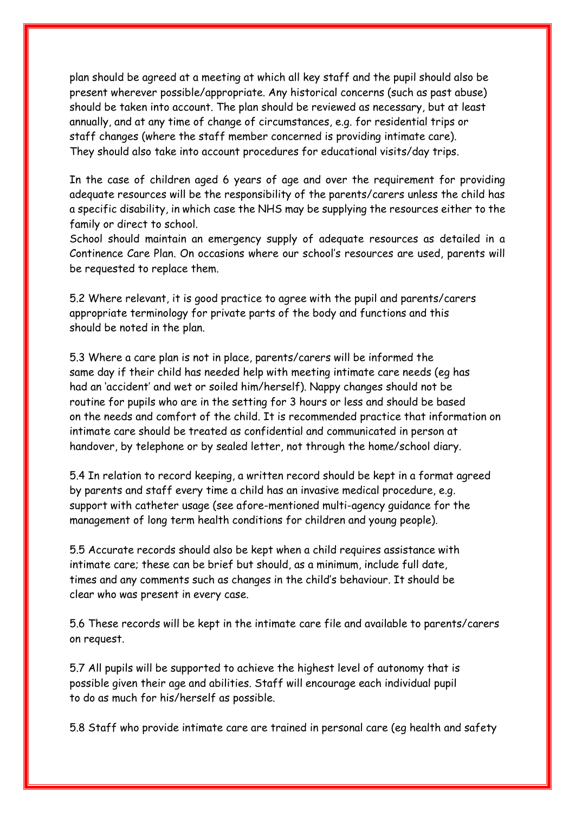plan should be agreed at a meeting at which all key staff and the pupil should also be present wherever possible/appropriate. Any historical concerns (such as past abuse) should be taken into account. The plan should be reviewed as necessary, but at least annually, and at any time of change of circumstances, e.g. for residential trips or staff changes (where the staff member concerned is providing intimate care). They should also take into account procedures for educational visits/day trips.

In the case of children aged 6 years of age and over the requirement for providing adequate resources will be the responsibility of the parents/carers unless the child has a specific disability, in which case the NHS may be supplying the resources either to the family or direct to school.

School should maintain an emergency supply of adequate resources as detailed in a Continence Care Plan. On occasions where our school's resources are used, parents will be requested to replace them.

5.2 Where relevant, it is good practice to agree with the pupil and parents/carers appropriate terminology for private parts of the body and functions and this should be noted in the plan.

5.3 Where a care plan is not in place, parents/carers will be informed the same day if their child has needed help with meeting intimate care needs (eg has had an 'accident' and wet or soiled him/herself). Nappy changes should not be routine for pupils who are in the setting for 3 hours or less and should be based on the needs and comfort of the child. It is recommended practice that information on intimate care should be treated as confidential and communicated in person at handover, by telephone or by sealed letter, not through the home/school diary.

5.4 In relation to record keeping, a written record should be kept in a format agreed by parents and staff every time a child has an invasive medical procedure, e.g. support with catheter usage (see afore-mentioned multi-agency guidance for the management of long term health conditions for children and young people).

5.5 Accurate records should also be kept when a child requires assistance with intimate care; these can be brief but should, as a minimum, include full date, times and any comments such as changes in the child's behaviour. It should be clear who was present in every case.

5.6 These records will be kept in the intimate care file and available to parents/carers on request.

5.7 All pupils will be supported to achieve the highest level of autonomy that is possible given their age and abilities. Staff will encourage each individual pupil to do as much for his/herself as possible.

5.8 Staff who provide intimate care are trained in personal care (eg health and safety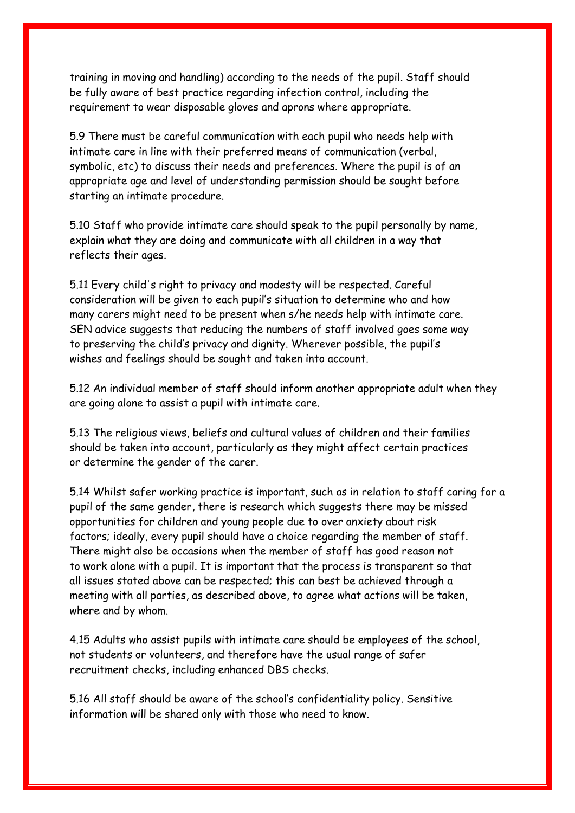training in moving and handling) according to the needs of the pupil. Staff should be fully aware of best practice regarding infection control, including the requirement to wear disposable gloves and aprons where appropriate.

5.9 There must be careful communication with each pupil who needs help with intimate care in line with their preferred means of communication (verbal, symbolic, etc) to discuss their needs and preferences. Where the pupil is of an appropriate age and level of understanding permission should be sought before starting an intimate procedure.

5.10 Staff who provide intimate care should speak to the pupil personally by name, explain what they are doing and communicate with all children in a way that reflects their ages.

5.11 Every child's right to privacy and modesty will be respected. Careful consideration will be given to each pupil's situation to determine who and how many carers might need to be present when s/he needs help with intimate care. SEN advice suggests that reducing the numbers of staff involved goes some way to preserving the child's privacy and dignity. Wherever possible, the pupil's wishes and feelings should be sought and taken into account.

5.12 An individual member of staff should inform another appropriate adult when they are going alone to assist a pupil with intimate care.

5.13 The religious views, beliefs and cultural values of children and their families should be taken into account, particularly as they might affect certain practices or determine the gender of the carer.

5.14 Whilst safer working practice is important, such as in relation to staff caring for a pupil of the same gender, there is research which suggests there may be missed opportunities for children and young people due to over anxiety about risk factors; ideally, every pupil should have a choice regarding the member of staff. There might also be occasions when the member of staff has good reason not to work alone with a pupil. It is important that the process is transparent so that all issues stated above can be respected; this can best be achieved through a meeting with all parties, as described above, to agree what actions will be taken, where and by whom.

4.15 Adults who assist pupils with intimate care should be employees of the school, not students or volunteers, and therefore have the usual range of safer recruitment checks, including enhanced DBS checks.

5.16 All staff should be aware of the school's confidentiality policy. Sensitive information will be shared only with those who need to know.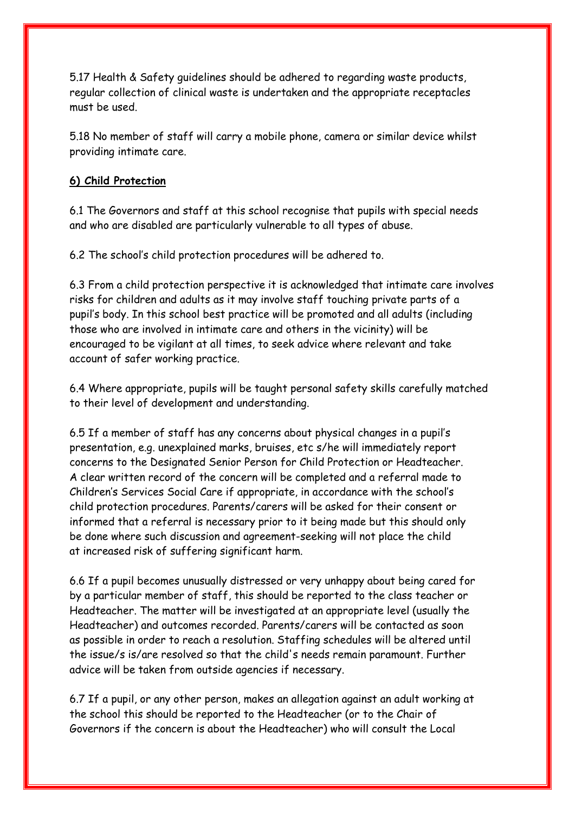5.17 Health & Safety guidelines should be adhered to regarding waste products, regular collection of clinical waste is undertaken and the appropriate receptacles must be used.

5.18 No member of staff will carry a mobile phone, camera or similar device whilst providing intimate care.

### **6) Child Protection**

6.1 The Governors and staff at this school recognise that pupils with special needs and who are disabled are particularly vulnerable to all types of abuse.

6.2 The school's child protection procedures will be adhered to.

6.3 From a child protection perspective it is acknowledged that intimate care involves risks for children and adults as it may involve staff touching private parts of a pupil's body. In this school best practice will be promoted and all adults (including those who are involved in intimate care and others in the vicinity) will be encouraged to be vigilant at all times, to seek advice where relevant and take account of safer working practice.

6.4 Where appropriate, pupils will be taught personal safety skills carefully matched to their level of development and understanding.

6.5 If a member of staff has any concerns about physical changes in a pupil's presentation, e.g. unexplained marks, bruises, etc s/he will immediately report concerns to the Designated Senior Person for Child Protection or Headteacher. A clear written record of the concern will be completed and a referral made to Children's Services Social Care if appropriate, in accordance with the school's child protection procedures. Parents/carers will be asked for their consent or informed that a referral is necessary prior to it being made but this should only be done where such discussion and agreement-seeking will not place the child at increased risk of suffering significant harm.

6.6 If a pupil becomes unusually distressed or very unhappy about being cared for by a particular member of staff, this should be reported to the class teacher or Headteacher. The matter will be investigated at an appropriate level (usually the Headteacher) and outcomes recorded. Parents/carers will be contacted as soon as possible in order to reach a resolution. Staffing schedules will be altered until the issue/s is/are resolved so that the child's needs remain paramount. Further advice will be taken from outside agencies if necessary.

6.7 If a pupil, or any other person, makes an allegation against an adult working at the school this should be reported to the Headteacher (or to the Chair of Governors if the concern is about the Headteacher) who will consult the Local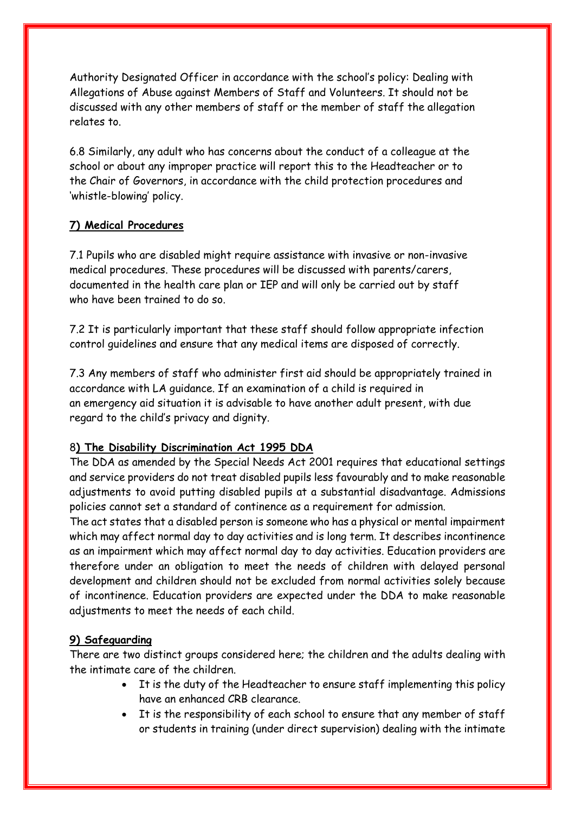Authority Designated Officer in accordance with the school's policy: Dealing with Allegations of Abuse against Members of Staff and Volunteers. It should not be discussed with any other members of staff or the member of staff the allegation relates to.

6.8 Similarly, any adult who has concerns about the conduct of a colleague at the school or about any improper practice will report this to the Headteacher or to the Chair of Governors, in accordance with the child protection procedures and 'whistle-blowing' policy.

### **7) Medical Procedures**

7.1 Pupils who are disabled might require assistance with invasive or non-invasive medical procedures. These procedures will be discussed with parents/carers, documented in the health care plan or IEP and will only be carried out by staff who have been trained to do so.

7.2 It is particularly important that these staff should follow appropriate infection control guidelines and ensure that any medical items are disposed of correctly.

7.3 Any members of staff who administer first aid should be appropriately trained in accordance with LA guidance. If an examination of a child is required in an emergency aid situation it is advisable to have another adult present, with due regard to the child's privacy and dignity.

#### 8**) The Disability Discrimination Act 1995 DDA**

The DDA as amended by the Special Needs Act 2001 requires that educational settings and service providers do not treat disabled pupils less favourably and to make reasonable adjustments to avoid putting disabled pupils at a substantial disadvantage. Admissions policies cannot set a standard of continence as a requirement for admission.

The act states that a disabled person is someone who has a physical or mental impairment which may affect normal day to day activities and is long term. It describes incontinence as an impairment which may affect normal day to day activities. Education providers are therefore under an obligation to meet the needs of children with delayed personal development and children should not be excluded from normal activities solely because of incontinence. Education providers are expected under the DDA to make reasonable adjustments to meet the needs of each child.

#### **9) Safeguarding**

There are two distinct groups considered here; the children and the adults dealing with the intimate care of the children.

- It is the duty of the Headteacher to ensure staff implementing this policy have an enhanced CRB clearance.
- It is the responsibility of each school to ensure that any member of staff or students in training (under direct supervision) dealing with the intimate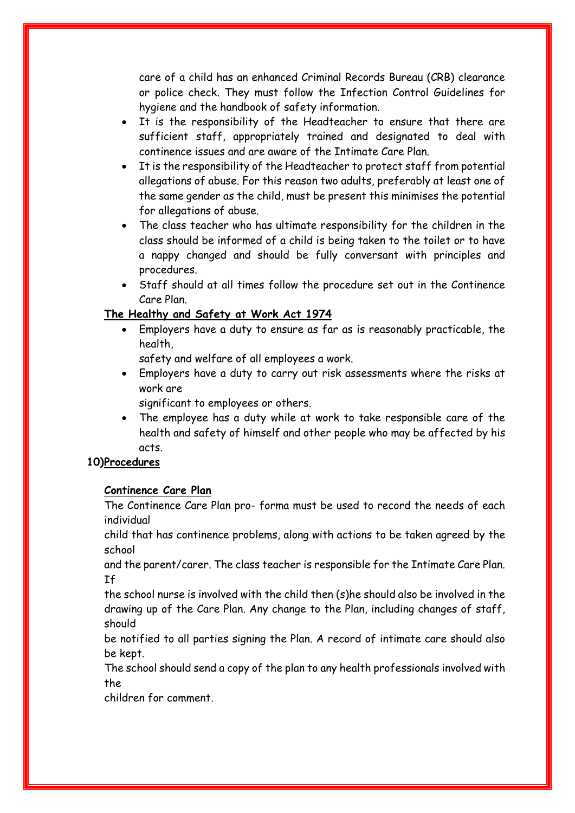care of a child has an enhanced Criminal Records Bureau (CRB) clearance or police check. They must follow the Infection Control Guidelines for hygiene and the handbook of safety information.

- It is the responsibility of the Headteacher to ensure that there are sufficient staff, appropriately trained and designated to deal with continence issues and are aware of the Intimate Care Plan.
- It is the responsibility of the Headteacher to protect staff from potential allegations of abuse. For this reason two adults, preferably at least one of the same gender as the child, must be present this minimises the potential for allegations of abuse.
- The class teacher who has ultimate responsibility for the children in the class should be informed of a child is being taken to the toilet or to have a nappy changed and should be fully conversant with principles and procedures.
- Staff should at all times follow the procedure set out in the Continence Care Plan.

## **The Healthy and Safety at Work Act 1974**

 Employers have a duty to ensure as far as is reasonably practicable, the health,

safety and welfare of all employees a work.

 Employers have a duty to carry out risk assessments where the risks at work are

significant to employees or others.

 The employee has a duty while at work to take responsible care of the health and safety of himself and other people who may be affected by his acts.

## **10)Procedures**

### **Continence Care Plan**

The Continence Care Plan pro- forma must be used to record the needs of each individual

child that has continence problems, along with actions to be taken agreed by the school

and the parent/carer. The class teacher is responsible for the Intimate Care Plan. If

the school nurse is involved with the child then (s)he should also be involved in the drawing up of the Care Plan. Any change to the Plan, including changes of staff, should

be notified to all parties signing the Plan. A record of intimate care should also be kept.

The school should send a copy of the plan to any health professionals involved with the

children for comment.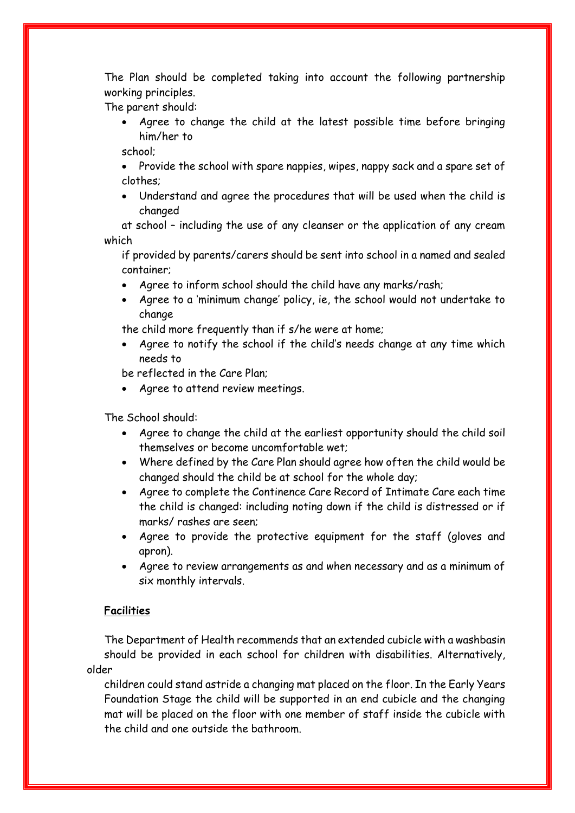The Plan should be completed taking into account the following partnership working principles.

The parent should:

 Agree to change the child at the latest possible time before bringing him/her to

school;

- Provide the school with spare nappies, wipes, nappy sack and a spare set of clothes;
- Understand and agree the procedures that will be used when the child is changed

at school – including the use of any cleanser or the application of any cream which

if provided by parents/carers should be sent into school in a named and sealed container;

- Agree to inform school should the child have any marks/rash;
- Agree to a 'minimum change' policy, ie, the school would not undertake to change

the child more frequently than if s/he were at home;

 Agree to notify the school if the child's needs change at any time which needs to

be reflected in the Care Plan;

Agree to attend review meetings.

The School should:

- Agree to change the child at the earliest opportunity should the child soil themselves or become uncomfortable wet;
- Where defined by the Care Plan should agree how often the child would be changed should the child be at school for the whole day;
- Agree to complete the Continence Care Record of Intimate Care each time the child is changed: including noting down if the child is distressed or if marks/ rashes are seen;
- Agree to provide the protective equipment for the staff (gloves and apron).
- Agree to review arrangements as and when necessary and as a minimum of six monthly intervals.

## **Facilities**

The Department of Health recommends that an extended cubicle with a washbasin should be provided in each school for children with disabilities. Alternatively, older

children could stand astride a changing mat placed on the floor. In the Early Years Foundation Stage the child will be supported in an end cubicle and the changing mat will be placed on the floor with one member of staff inside the cubicle with the child and one outside the bathroom.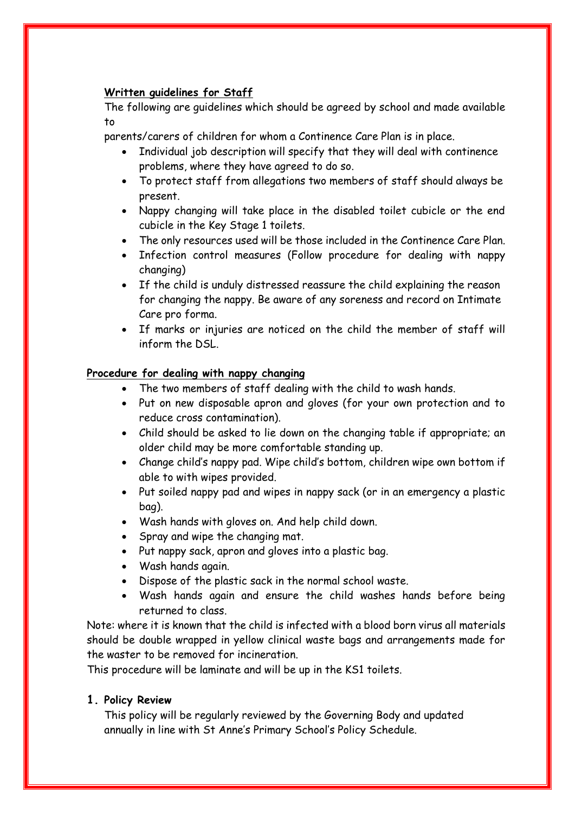## **Written guidelines for Staff**

The following are guidelines which should be agreed by school and made available to

parents/carers of children for whom a Continence Care Plan is in place.

- Individual job description will specify that they will deal with continence problems, where they have agreed to do so.
- To protect staff from allegations two members of staff should always be present.
- Nappy changing will take place in the disabled toilet cubicle or the end cubicle in the Key Stage 1 toilets.
- The only resources used will be those included in the Continence Care Plan.
- Infection control measures (Follow procedure for dealing with nappy changing)
- If the child is unduly distressed reassure the child explaining the reason for changing the nappy. Be aware of any soreness and record on Intimate Care pro forma.
- If marks or injuries are noticed on the child the member of staff will inform the DSL.

## **Procedure for dealing with nappy changing**

- The two members of staff dealing with the child to wash hands.
- Put on new disposable apron and gloves (for your own protection and to reduce cross contamination).
- Child should be asked to lie down on the changing table if appropriate; an older child may be more comfortable standing up.
- Change child's nappy pad. Wipe child's bottom, children wipe own bottom if able to with wipes provided.
- Put soiled nappy pad and wipes in nappy sack (or in an emergency a plastic bag).
- Wash hands with gloves on. And help child down.
- Spray and wipe the changing mat.
- Put nappy sack, apron and gloves into a plastic bag.
- Wash hands again.
- Dispose of the plastic sack in the normal school waste.
- Wash hands again and ensure the child washes hands before being returned to class.

Note: where it is known that the child is infected with a blood born virus all materials should be double wrapped in yellow clinical waste bags and arrangements made for the waster to be removed for incineration.

This procedure will be laminate and will be up in the KS1 toilets.

### **1. Policy Review**

This policy will be regularly reviewed by the Governing Body and updated annually in line with St Anne's Primary School's Policy Schedule.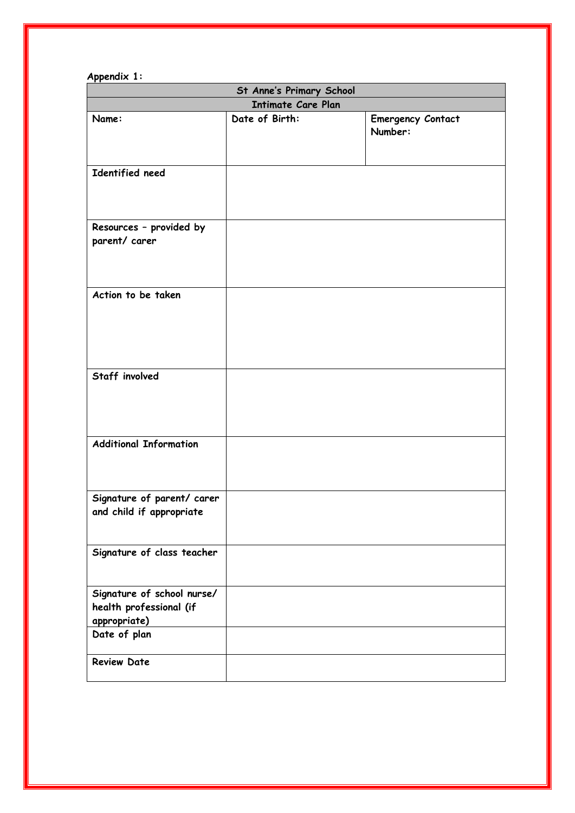## **Appendix 1:**

|                                                                       | St Anne's Primary School |                                     |
|-----------------------------------------------------------------------|--------------------------|-------------------------------------|
|                                                                       | Intimate Care Plan       |                                     |
| Name:                                                                 | Date of Birth:           | <b>Emergency Contact</b><br>Number: |
| Identified need                                                       |                          |                                     |
| Resources - provided by<br>parent/carer                               |                          |                                     |
| Action to be taken                                                    |                          |                                     |
| Staff involved                                                        |                          |                                     |
| <b>Additional Information</b>                                         |                          |                                     |
| Signature of parent/ carer<br>and child if appropriate                |                          |                                     |
| Signature of class teacher                                            |                          |                                     |
| Signature of school nurse/<br>health professional (if<br>appropriate) |                          |                                     |
| Date of plan                                                          |                          |                                     |
| <b>Review Date</b>                                                    |                          |                                     |